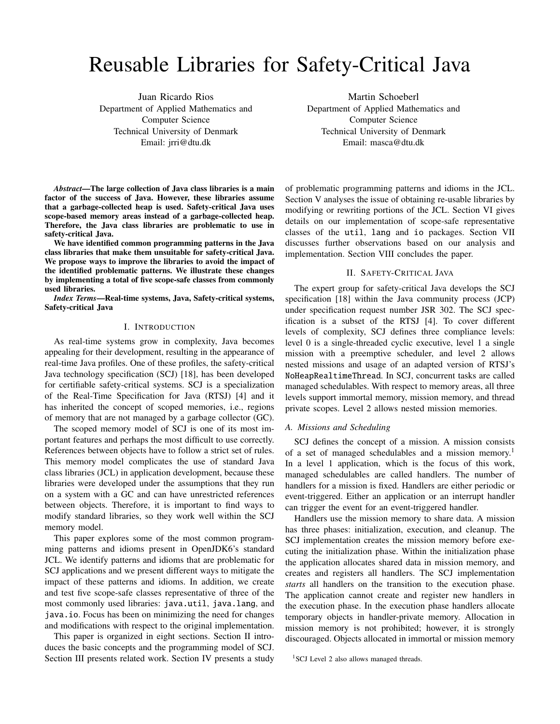# Reusable Libraries for Safety-Critical Java

Juan Ricardo Rios Department of Applied Mathematics and Computer Science Technical University of Denmark Email: jrri@dtu.dk

Martin Schoeberl Department of Applied Mathematics and Computer Science Technical University of Denmark Email: masca@dtu.dk

*Abstract*—The large collection of Java class libraries is a main factor of the success of Java. However, these libraries assume that a garbage-collected heap is used. Safety-critical Java uses scope-based memory areas instead of a garbage-collected heap. Therefore, the Java class libraries are problematic to use in safety-critical Java.

We have identified common programming patterns in the Java class libraries that make them unsuitable for safety-critical Java. We propose ways to improve the libraries to avoid the impact of the identified problematic patterns. We illustrate these changes by implementing a total of five scope-safe classes from commonly used libraries.

*Index Terms*—Real-time systems, Java, Safety-critical systems, Safety-critical Java

## I. INTRODUCTION

As real-time systems grow in complexity, Java becomes appealing for their development, resulting in the appearance of real-time Java profiles. One of these profiles, the safety-critical Java technology specification (SCJ) [18], has been developed for certifiable safety-critical systems. SCJ is a specialization of the Real-Time Specification for Java (RTSJ) [4] and it has inherited the concept of scoped memories, i.e., regions of memory that are not managed by a garbage collector (GC).

The scoped memory model of SCJ is one of its most important features and perhaps the most difficult to use correctly. References between objects have to follow a strict set of rules. This memory model complicates the use of standard Java class libraries (JCL) in application development, because these libraries were developed under the assumptions that they run on a system with a GC and can have unrestricted references between objects. Therefore, it is important to find ways to modify standard libraries, so they work well within the SCJ memory model.

This paper explores some of the most common programming patterns and idioms present in OpenJDK6's standard JCL. We identify patterns and idioms that are problematic for SCJ applications and we present different ways to mitigate the impact of these patterns and idioms. In addition, we create and test five scope-safe classes representative of three of the most commonly used libraries: java.util, java.lang, and java.io. Focus has been on minimizing the need for changes and modifications with respect to the original implementation.

This paper is organized in eight sections. Section II introduces the basic concepts and the programming model of SCJ. Section III presents related work. Section IV presents a study of problematic programming patterns and idioms in the JCL. Section V analyses the issue of obtaining re-usable libraries by modifying or rewriting portions of the JCL. Section VI gives details on our implementation of scope-safe representative classes of the util, lang and io packages. Section VII discusses further observations based on our analysis and implementation. Section VIII concludes the paper.

#### II. SAFETY-CRITICAL JAVA

The expert group for safety-critical Java develops the SCJ specification [18] within the Java community process (JCP) under specification request number JSR 302. The SCJ specification is a subset of the RTSJ [4]. To cover different levels of complexity, SCJ defines three compliance levels: level 0 is a single-threaded cyclic executive, level 1 a single mission with a preemptive scheduler, and level 2 allows nested missions and usage of an adapted version of RTSJ's NoHeapRealtimeThread. In SCJ, concurrent tasks are called managed schedulables. With respect to memory areas, all three levels support immortal memory, mission memory, and thread private scopes. Level 2 allows nested mission memories.

#### *A. Missions and Scheduling*

SCJ defines the concept of a mission. A mission consists of a set of managed schedulables and a mission memory.<sup>1</sup> In a level 1 application, which is the focus of this work, managed schedulables are called handlers. The number of handlers for a mission is fixed. Handlers are either periodic or event-triggered. Either an application or an interrupt handler can trigger the event for an event-triggered handler.

Handlers use the mission memory to share data. A mission has three phases: initialization, execution, and cleanup. The SCJ implementation creates the mission memory before executing the initialization phase. Within the initialization phase the application allocates shared data in mission memory, and creates and registers all handlers. The SCJ implementation *starts* all handlers on the transition to the execution phase. The application cannot create and register new handlers in the execution phase. In the execution phase handlers allocate temporary objects in handler-private memory. Allocation in mission memory is not prohibited; however, it is strongly discouraged. Objects allocated in immortal or mission memory

<sup>1</sup>SCJ Level 2 also allows managed threads.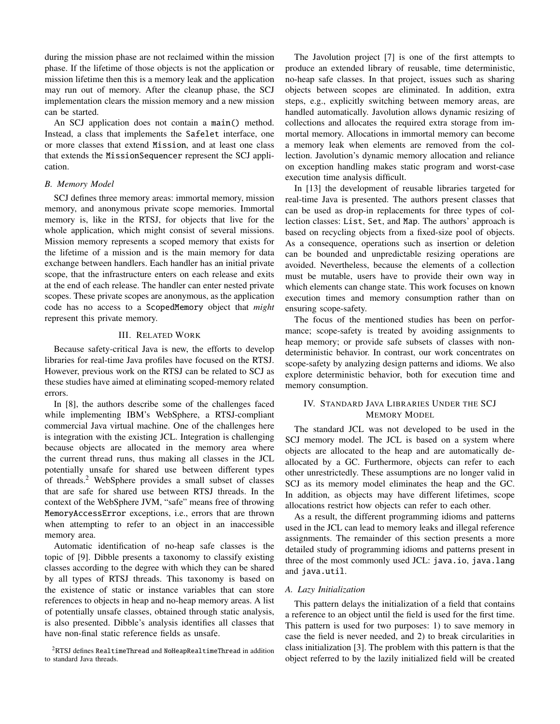during the mission phase are not reclaimed within the mission phase. If the lifetime of those objects is not the application or mission lifetime then this is a memory leak and the application may run out of memory. After the cleanup phase, the SCJ implementation clears the mission memory and a new mission can be started.

An SCJ application does not contain a main() method. Instead, a class that implements the Safelet interface, one or more classes that extend Mission, and at least one class that extends the MissionSequencer represent the SCJ application.

#### *B. Memory Model*

SCJ defines three memory areas: immortal memory, mission memory, and anonymous private scope memories. Immortal memory is, like in the RTSJ, for objects that live for the whole application, which might consist of several missions. Mission memory represents a scoped memory that exists for the lifetime of a mission and is the main memory for data exchange between handlers. Each handler has an initial private scope, that the infrastructure enters on each release and exits at the end of each release. The handler can enter nested private scopes. These private scopes are anonymous, as the application code has no access to a ScopedMemory object that *might* represent this private memory.

## III. RELATED WORK

Because safety-critical Java is new, the efforts to develop libraries for real-time Java profiles have focused on the RTSJ. However, previous work on the RTSJ can be related to SCJ as these studies have aimed at eliminating scoped-memory related errors.

In [8], the authors describe some of the challenges faced while implementing IBM's WebSphere, a RTSJ-compliant commercial Java virtual machine. One of the challenges here is integration with the existing JCL. Integration is challenging because objects are allocated in the memory area where the current thread runs, thus making all classes in the JCL potentially unsafe for shared use between different types of threads.<sup>2</sup> WebSphere provides a small subset of classes that are safe for shared use between RTSJ threads. In the context of the WebSphere JVM, "safe" means free of throwing MemoryAccessError exceptions, i.e., errors that are thrown when attempting to refer to an object in an inaccessible memory area.

Automatic identification of no-heap safe classes is the topic of [9]. Dibble presents a taxonomy to classify existing classes according to the degree with which they can be shared by all types of RTSJ threads. This taxonomy is based on the existence of static or instance variables that can store references to objects in heap and no-heap memory areas. A list of potentially unsafe classes, obtained through static analysis, is also presented. Dibble's analysis identifies all classes that have non-final static reference fields as unsafe.

The Javolution project [7] is one of the first attempts to produce an extended library of reusable, time deterministic, no-heap safe classes. In that project, issues such as sharing objects between scopes are eliminated. In addition, extra steps, e.g., explicitly switching between memory areas, are handled automatically. Javolution allows dynamic resizing of collections and allocates the required extra storage from immortal memory. Allocations in immortal memory can become a memory leak when elements are removed from the collection. Javolution's dynamic memory allocation and reliance on exception handling makes static program and worst-case execution time analysis difficult.

In [13] the development of reusable libraries targeted for real-time Java is presented. The authors present classes that can be used as drop-in replacements for three types of collection classes: List, Set, and Map. The authors' approach is based on recycling objects from a fixed-size pool of objects. As a consequence, operations such as insertion or deletion can be bounded and unpredictable resizing operations are avoided. Nevertheless, because the elements of a collection must be mutable, users have to provide their own way in which elements can change state. This work focuses on known execution times and memory consumption rather than on ensuring scope-safety.

The focus of the mentioned studies has been on performance; scope-safety is treated by avoiding assignments to heap memory; or provide safe subsets of classes with nondeterministic behavior. In contrast, our work concentrates on scope-safety by analyzing design patterns and idioms. We also explore deterministic behavior, both for execution time and memory consumption.

# IV. STANDARD JAVA LIBRARIES UNDER THE SCJ MEMORY MODEL

The standard JCL was not developed to be used in the SCJ memory model. The JCL is based on a system where objects are allocated to the heap and are automatically deallocated by a GC. Furthermore, objects can refer to each other unrestrictedly. These assumptions are no longer valid in SCJ as its memory model eliminates the heap and the GC. In addition, as objects may have different lifetimes, scope allocations restrict how objects can refer to each other.

As a result, the different programming idioms and patterns used in the JCL can lead to memory leaks and illegal reference assignments. The remainder of this section presents a more detailed study of programming idioms and patterns present in three of the most commonly used JCL: java.io, java.lang and java.util.

# *A. Lazy Initialization*

This pattern delays the initialization of a field that contains a reference to an object until the field is used for the first time. This pattern is used for two purposes: 1) to save memory in case the field is never needed, and 2) to break circularities in class initialization [3]. The problem with this pattern is that the object referred to by the lazily initialized field will be created

<sup>2</sup>RTSJ defines RealtimeThread and NoHeapRealtimeThread in addition to standard Java threads.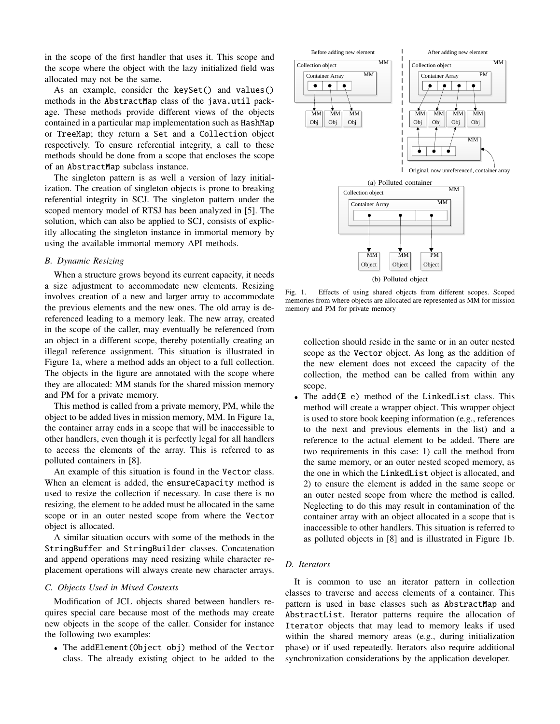in the scope of the first handler that uses it. This scope and the scope where the object with the lazy initialized field was allocated may not be the same.

As an example, consider the keySet() and values() methods in the AbstractMap class of the java.util package. These methods provide different views of the objects contained in a particular map implementation such as HashMap or TreeMap; they return a Set and a Collection object respectively. To ensure referential integrity, a call to these methods should be done from a scope that encloses the scope of an AbstractMap subclass instance.

The singleton pattern is as well a version of lazy initialization. The creation of singleton objects is prone to breaking referential integrity in SCJ. The singleton pattern under the scoped memory model of RTSJ has been analyzed in [5]. The solution, which can also be applied to SCJ, consists of explicitly allocating the singleton instance in immortal memory by using the available immortal memory API methods.

## *B. Dynamic Resizing*

When a structure grows beyond its current capacity, it needs a size adjustment to accommodate new elements. Resizing involves creation of a new and larger array to accommodate the previous elements and the new ones. The old array is dereferenced leading to a memory leak. The new array, created in the scope of the caller, may eventually be referenced from an object in a different scope, thereby potentially creating an illegal reference assignment. This situation is illustrated in Figure 1a, where a method adds an object to a full collection. The objects in the figure are annotated with the scope where they are allocated: MM stands for the shared mission memory and PM for a private memory.

This method is called from a private memory, PM, while the object to be added lives in mission memory, MM. In Figure 1a, the container array ends in a scope that will be inaccessible to other handlers, even though it is perfectly legal for all handlers to access the elements of the array. This is referred to as polluted containers in [8].

An example of this situation is found in the Vector class. When an element is added, the ensureCapacity method is used to resize the collection if necessary. In case there is no resizing, the element to be added must be allocated in the same scope or in an outer nested scope from where the Vector object is allocated.

A similar situation occurs with some of the methods in the StringBuffer and StringBuilder classes. Concatenation and append operations may need resizing while character replacement operations will always create new character arrays.

## *C. Objects Used in Mixed Contexts*

Modification of JCL objects shared between handlers requires special care because most of the methods may create new objects in the scope of the caller. Consider for instance the following two examples:

• The addElement(Object obj) method of the Vector class. The already existing object to be added to the



Fig. 1. Effects of using shared objects from different scopes. Scoped memories from where objects are allocated are represented as MM for mission memory and PM for private memory

collection should reside in the same or in an outer nested scope as the Vector object. As long as the addition of the new element does not exceed the capacity of the collection, the method can be called from within any scope.

• The add(E e) method of the LinkedList class. This method will create a wrapper object. This wrapper object is used to store book keeping information (e.g., references to the next and previous elements in the list) and a reference to the actual element to be added. There are two requirements in this case: 1) call the method from the same memory, or an outer nested scoped memory, as the one in which the LinkedList object is allocated, and 2) to ensure the element is added in the same scope or an outer nested scope from where the method is called. Neglecting to do this may result in contamination of the container array with an object allocated in a scope that is inaccessible to other handlers. This situation is referred to as polluted objects in [8] and is illustrated in Figure 1b.

## *D. Iterators*

It is common to use an iterator pattern in collection classes to traverse and access elements of a container. This pattern is used in base classes such as AbstractMap and AbstractList. Iterator patterns require the allocation of Iterator objects that may lead to memory leaks if used within the shared memory areas (e.g., during initialization phase) or if used repeatedly. Iterators also require additional synchronization considerations by the application developer.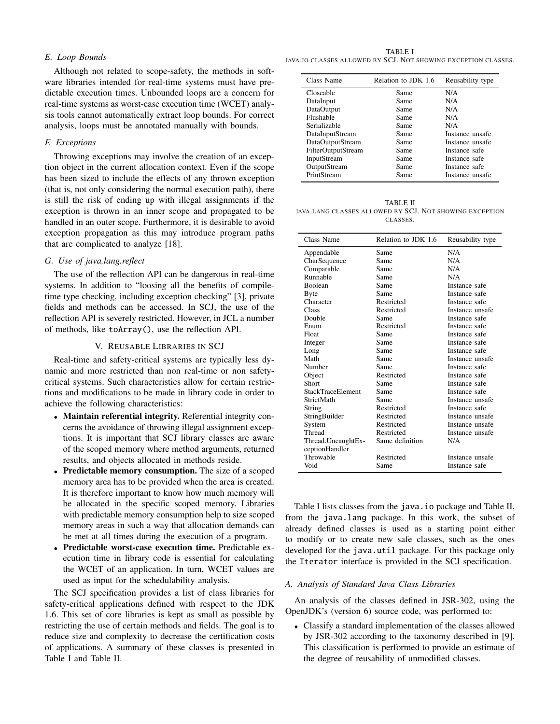#### *E. Loop Bounds*

Although not related to scope-safety, the methods in software libraries intended for real-time systems must have predictable execution times. Unbounded loops are a concern for real-time systems as worst-case execution time (WCET) analysis tools cannot automatically extract loop bounds. For correct analysis, loops must be annotated manually with bounds.

# *F. Exceptions*

Throwing exceptions may involve the creation of an exception object in the current allocation context. Even if the scope has been sized to include the effects of any thrown exception (that is, not only considering the normal execution path), there is still the risk of ending up with illegal assignments if the exception is thrown in an inner scope and propagated to be handled in an outer scope. Furthermore, it is desirable to avoid exception propagation as this may introduce program paths that are complicated to analyze [18].

# *G. Use of java.lang.reflect*

The use of the reflection API can be dangerous in real-time systems. In addition to "loosing all the benefits of compiletime type checking, including exception checking" [3], private fields and methods can be accessed. In SCJ, the use of the reflection API is severely restricted. However, in JCL a number of methods, like toArray(), use the reflection API.

#### V. REUSABLE LIBRARIES IN SCJ

Real-time and safety-critical systems are typically less dynamic and more restricted than non real-time or non safetycritical systems. Such characteristics allow for certain restrictions and modifications to be made in library code in order to achieve the following characteristics:

- Maintain referential integrity. Referential integrity concerns the avoidance of throwing illegal assignment exceptions. It is important that SCJ library classes are aware of the scoped memory where method arguments, returned results, and objects allocated in methods reside.
- Predictable memory consumption. The size of a scoped memory area has to be provided when the area is created. It is therefore important to know how much memory will be allocated in the specific scoped memory. Libraries with predictable memory consumption help to size scoped memory areas in such a way that allocation demands can be met at all times during the execution of a program.
- Predictable worst-case execution time. Predictable execution time in library code is essential for calculating the WCET of an application. In turn, WCET values are used as input for the schedulability analysis.

The SCJ specification provides a list of class libraries for safety-critical applications defined with respect to the JDK 1.6. This set of core libraries is kept as small as possible by restricting the use of certain methods and fields. The goal is to reduce size and complexity to decrease the certification costs of applications. A summary of these classes is presented in Table I and Table II.

TABLE I JAVA.IO CLASSES ALLOWED BY SCJ. NOT SHOWING EXCEPTION CLASSES.

| Class Name         | Relation to JDK 1.6 | Reusability type |  |  |
|--------------------|---------------------|------------------|--|--|
| Closeable          | Same                | N/A              |  |  |
| DataInput          | Same                | N/A              |  |  |
| DataOutput         | Same                | N/A              |  |  |
| Flushable          | Same                | N/A              |  |  |
| Serializable       | Same                | N/A              |  |  |
| DataInputStream    | Same                | Instance unsafe  |  |  |
| DataOutputStream   | Same                | Instance unsafe  |  |  |
| FilterOutputStream | Same                | Instance safe    |  |  |
| <b>InputStream</b> | Same                | Instance safe    |  |  |
| OutputStream       | Same                | Instance safe    |  |  |
| PrintStream        | Same                | Instance unsafe  |  |  |

TABLE II JAVA.LANG CLASSES ALLOWED BY SCJ. NOT SHOWING EXCEPTION CLASSES.

| Class Name               | Relation to JDK 1.6 | Reusability type |  |  |
|--------------------------|---------------------|------------------|--|--|
| Appendable               | Same                | N/A              |  |  |
| CharSequence             | Same                | N/A              |  |  |
| Comparable               | Same                | N/A              |  |  |
| Runnable                 | Same                | N/A              |  |  |
| <b>Boolean</b>           | Same                | Instance safe    |  |  |
| <b>Byte</b>              | Same                | Instance safe    |  |  |
| Character                | Restricted          | Instance safe    |  |  |
| Class                    | Restricted          | Instance unsafe  |  |  |
| Double                   | Same                | Instance safe    |  |  |
| Enum                     | Restricted          | Instance safe    |  |  |
| Float                    | Same                | Instance safe    |  |  |
| Integer                  | Same                | Instance safe    |  |  |
| Long                     | Same                | Instance safe    |  |  |
| Math                     | Same                | Instance unsafe  |  |  |
| Number                   | Same                | Instance safe    |  |  |
| Object                   | Restricted          | Instance safe    |  |  |
| Short                    | Same                | Instance safe    |  |  |
| <b>StackTraceElement</b> | Same                | Instance safe    |  |  |
| <b>StrictMath</b>        | Same                | Instance unsafe  |  |  |
| String                   | Restricted          | Instance safe    |  |  |
| StringBuilder            | Restricted          | Instance unsafe  |  |  |
| System                   | Restricted          | Instance unsafe  |  |  |
| Thread                   | Restricted          | Instance unsafe  |  |  |
| Thread. Uncaught Ex-     | Same definition     | N/A              |  |  |
| ceptionHandler           |                     |                  |  |  |
| Throwable                | Restricted          | Instance unsafe  |  |  |
| Void                     | Same                | Instance safe    |  |  |

Table I lists classes from the java.io package and Table II, from the java.lang package. In this work, the subset of already defined classes is used as a starting point either to modify or to create new safe classes, such as the ones developed for the java.util package. For this package only the Iterator interface is provided in the SCJ specification.

#### *A. Analysis of Standard Java Class Libraries*

An analysis of the classes defined in JSR-302, using the OpenJDK's (version 6) source code, was performed to:

• Classify a standard implementation of the classes allowed by JSR-302 according to the taxonomy described in [9]. This classification is performed to provide an estimate of the degree of reusability of unmodified classes.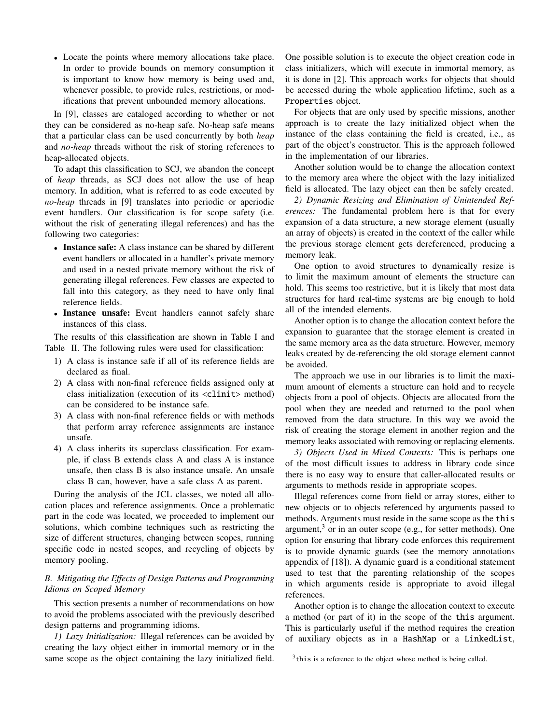• Locate the points where memory allocations take place. In order to provide bounds on memory consumption it is important to know how memory is being used and, whenever possible, to provide rules, restrictions, or modifications that prevent unbounded memory allocations.

In [9], classes are cataloged according to whether or not they can be considered as no-heap safe. No-heap safe means that a particular class can be used concurrently by both *heap* and *no-heap* threads without the risk of storing references to heap-allocated objects.

To adapt this classification to SCJ, we abandon the concept of *heap* threads, as SCJ does not allow the use of heap memory. In addition, what is referred to as code executed by *no-heap* threads in [9] translates into periodic or aperiodic event handlers. Our classification is for scope safety (i.e. without the risk of generating illegal references) and has the following two categories:

- Instance safe: A class instance can be shared by different event handlers or allocated in a handler's private memory and used in a nested private memory without the risk of generating illegal references. Few classes are expected to fall into this category, as they need to have only final reference fields.
- Instance unsafe: Event handlers cannot safely share instances of this class.

The results of this classification are shown in Table I and Table II. The following rules were used for classification:

- 1) A class is instance safe if all of its reference fields are declared as final.
- 2) A class with non-final reference fields assigned only at class initialization (execution of its <clinit> method) can be considered to be instance safe.
- 3) A class with non-final reference fields or with methods that perform array reference assignments are instance unsafe.
- 4) A class inherits its superclass classification. For example, if class B extends class A and class A is instance unsafe, then class B is also instance unsafe. An unsafe class B can, however, have a safe class A as parent.

During the analysis of the JCL classes, we noted all allocation places and reference assignments. Once a problematic part in the code was located, we proceeded to implement our solutions, which combine techniques such as restricting the size of different structures, changing between scopes, running specific code in nested scopes, and recycling of objects by memory pooling.

# *B. Mitigating the Effects of Design Patterns and Programming Idioms on Scoped Memory*

This section presents a number of recommendations on how to avoid the problems associated with the previously described design patterns and programming idioms.

*1) Lazy Initialization:* Illegal references can be avoided by creating the lazy object either in immortal memory or in the same scope as the object containing the lazy initialized field. One possible solution is to execute the object creation code in class initializers, which will execute in immortal memory, as it is done in [2]. This approach works for objects that should be accessed during the whole application lifetime, such as a Properties object.

For objects that are only used by specific missions, another approach is to create the lazy initialized object when the instance of the class containing the field is created, i.e., as part of the object's constructor. This is the approach followed in the implementation of our libraries.

Another solution would be to change the allocation context to the memory area where the object with the lazy initialized field is allocated. The lazy object can then be safely created.

*2) Dynamic Resizing and Elimination of Unintended References:* The fundamental problem here is that for every expansion of a data structure, a new storage element (usually an array of objects) is created in the context of the caller while the previous storage element gets dereferenced, producing a memory leak.

One option to avoid structures to dynamically resize is to limit the maximum amount of elements the structure can hold. This seems too restrictive, but it is likely that most data structures for hard real-time systems are big enough to hold all of the intended elements.

Another option is to change the allocation context before the expansion to guarantee that the storage element is created in the same memory area as the data structure. However, memory leaks created by de-referencing the old storage element cannot be avoided.

The approach we use in our libraries is to limit the maximum amount of elements a structure can hold and to recycle objects from a pool of objects. Objects are allocated from the pool when they are needed and returned to the pool when removed from the data structure. In this way we avoid the risk of creating the storage element in another region and the memory leaks associated with removing or replacing elements.

*3) Objects Used in Mixed Contexts:* This is perhaps one of the most difficult issues to address in library code since there is no easy way to ensure that caller-allocated results or arguments to methods reside in appropriate scopes.

Illegal references come from field or array stores, either to new objects or to objects referenced by arguments passed to methods. Arguments must reside in the same scope as the this argument, $3$  or in an outer scope (e.g., for setter methods). One option for ensuring that library code enforces this requirement is to provide dynamic guards (see the memory annotations appendix of [18]). A dynamic guard is a conditional statement used to test that the parenting relationship of the scopes in which arguments reside is appropriate to avoid illegal references.

Another option is to change the allocation context to execute a method (or part of it) in the scope of the this argument. This is particularly useful if the method requires the creation of auxiliary objects as in a HashMap or a LinkedList,

<sup>&</sup>lt;sup>3</sup>this is a reference to the object whose method is being called.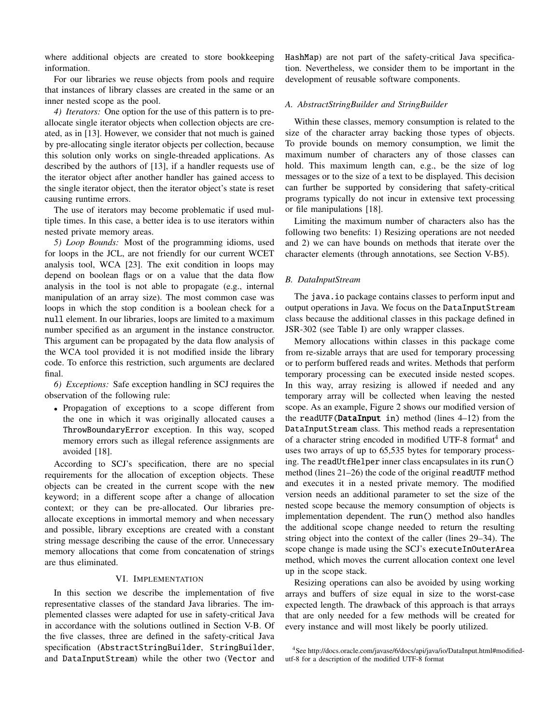where additional objects are created to store bookkeeping information.

For our libraries we reuse objects from pools and require that instances of library classes are created in the same or an inner nested scope as the pool.

*4) Iterators:* One option for the use of this pattern is to preallocate single iterator objects when collection objects are created, as in [13]. However, we consider that not much is gained by pre-allocating single iterator objects per collection, because this solution only works on single-threaded applications. As described by the authors of [13], if a handler requests use of the iterator object after another handler has gained access to the single iterator object, then the iterator object's state is reset causing runtime errors.

The use of iterators may become problematic if used multiple times. In this case, a better idea is to use iterators within nested private memory areas.

*5) Loop Bounds:* Most of the programming idioms, used for loops in the JCL, are not friendly for our current WCET analysis tool, WCA [23]. The exit condition in loops may depend on boolean flags or on a value that the data flow analysis in the tool is not able to propagate (e.g., internal manipulation of an array size). The most common case was loops in which the stop condition is a boolean check for a null element. In our libraries, loops are limited to a maximum number specified as an argument in the instance constructor. This argument can be propagated by the data flow analysis of the WCA tool provided it is not modified inside the library code. To enforce this restriction, such arguments are declared final.

*6) Exceptions:* Safe exception handling in SCJ requires the observation of the following rule:

• Propagation of exceptions to a scope different from the one in which it was originally allocated causes a ThrowBoundaryError exception. In this way, scoped memory errors such as illegal reference assignments are avoided [18].

According to SCJ's specification, there are no special requirements for the allocation of exception objects. These objects can be created in the current scope with the new keyword; in a different scope after a change of allocation context; or they can be pre-allocated. Our libraries preallocate exceptions in immortal memory and when necessary and possible, library exceptions are created with a constant string message describing the cause of the error. Unnecessary memory allocations that come from concatenation of strings are thus eliminated.

## VI. IMPLEMENTATION

In this section we describe the implementation of five representative classes of the standard Java libraries. The implemented classes were adapted for use in safety-critical Java in accordance with the solutions outlined in Section V-B. Of the five classes, three are defined in the safety-critical Java specification (AbstractStringBuilder, StringBuilder, and DataInputStream) while the other two (Vector and HashMap) are not part of the safety-critical Java specification. Nevertheless, we consider them to be important in the development of reusable software components.

## *A. AbstractStringBuilder and StringBuilder*

Within these classes, memory consumption is related to the size of the character array backing those types of objects. To provide bounds on memory consumption, we limit the maximum number of characters any of those classes can hold. This maximum length can, e.g., be the size of log messages or to the size of a text to be displayed. This decision can further be supported by considering that safety-critical programs typically do not incur in extensive text processing or file manipulations [18].

Limiting the maximum number of characters also has the following two benefits: 1) Resizing operations are not needed and 2) we can have bounds on methods that iterate over the character elements (through annotations, see Section V-B5).

#### *B. DataInputStream*

The java.io package contains classes to perform input and output operations in Java. We focus on the DataInputStream class because the additional classes in this package defined in JSR-302 (see Table I) are only wrapper classes.

Memory allocations within classes in this package come from re-sizable arrays that are used for temporary processing or to perform buffered reads and writes. Methods that perform temporary processing can be executed inside nested scopes. In this way, array resizing is allowed if needed and any temporary array will be collected when leaving the nested scope. As an example, Figure 2 shows our modified version of the readUTF( $DataInput$  in) method (lines  $4-12$ ) from the DataInputStream class. This method reads a representation of a character string encoded in modified UTF-8 format<sup>4</sup> and uses two arrays of up to 65,535 bytes for temporary processing. The readUtfHelper inner class encapsulates in its run() method (lines 21–26) the code of the original readUTF method and executes it in a nested private memory. The modified version needs an additional parameter to set the size of the nested scope because the memory consumption of objects is implementation dependent. The run() method also handles the additional scope change needed to return the resulting string object into the context of the caller (lines 29–34). The scope change is made using the SCJ's executeInOuterArea method, which moves the current allocation context one level up in the scope stack.

Resizing operations can also be avoided by using working arrays and buffers of size equal in size to the worst-case expected length. The drawback of this approach is that arrays that are only needed for a few methods will be created for every instance and will most likely be poorly utilized.

<sup>4</sup>See http://docs.oracle.com/javase/6/docs/api/java/io/DataInput.html#modifiedutf-8 for a description of the modified UTF-8 format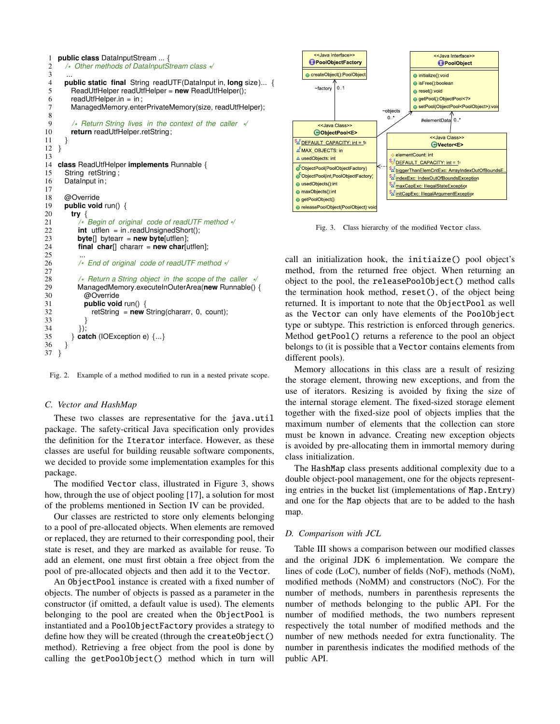```
1 public class DataInputStream ... {
 2 /
* Other methods of DataInputStream class *
/
 \frac{3}{4}4 public static final String readUTF(DataInput in, long size )... {
 5 ReadUtfHelper readUtfHelper = new ReadUtfHelper();<br>6 readUtfHelper.in = in;
        readUtfHelper.in = in;
 7 ManagedMemory.enterPrivateMemory(size, readUtfHelper);
 8
 9 /
         * Return String lives in the context of the caller
*
/
10 return readUtfHelper.retString;
11 }
12 }
13
14 class ReadUtfHelper implements Runnable {
15 String retString ;
16 DataInput in;
17
18 @Override
19 public void run() {
20 try {
21 /
           * Begin of original code of readUTF method *
/
          int utflen = in readUnsignedShort();
23 byte[] bytearr = new byte[utflen];<br>24 final char[] chararr = new char[u
          final char<sup>[]</sup> chararr = new char[utflen];
2526 /
           * End of original code of readUTF method *
/
27
28 /
           * Return a String object in the scope of the caller
*
/
29 ManagedMemory.executeInOuterArea(new Runnable() {
            @Override
31 public void run() {
32 retString = new String(chararr, 0, count);
33 }
34 });
35 } catch (IOException e) {...}
36 }
37 }
```
Fig. 2. Example of a method modified to run in a nested private scope.

#### *C. Vector and HashMap*

These two classes are representative for the java.util package. The safety-critical Java specification only provides the definition for the Iterator interface. However, as these classes are useful for building reusable software components, we decided to provide some implementation examples for this package.

The modified Vector class, illustrated in Figure 3, shows how, through the use of object pooling [17], a solution for most of the problems mentioned in Section IV can be provided.

Our classes are restricted to store only elements belonging to a pool of pre-allocated objects. When elements are removed or replaced, they are returned to their corresponding pool, their state is reset, and they are marked as available for reuse. To add an element, one must first obtain a free object from the pool of pre-allocated objects and then add it to the Vector.

An ObjectPool instance is created with a fixed number of objects. The number of objects is passed as a parameter in the constructor (if omitted, a default value is used). The elements belonging to the pool are created when the ObjectPool is instantiated and a PoolObjectFactory provides a strategy to define how they will be created (through the createObject() method). Retrieving a free object from the pool is done by calling the getPoolObject() method which in turn will



Fig. 3. Class hierarchy of the modified Vector class.

call an initialization hook, the initiaize() pool object's method, from the returned free object. When returning an object to the pool, the releasePoolObject() method calls the termination hook method, reset(), of the object being returned. It is important to note that the ObjectPool as well as the Vector can only have elements of the PoolObject type or subtype. This restriction is enforced through generics. Method getPool() returns a reference to the pool an object belongs to (it is possible that a Vector contains elements from different pools).

Memory allocations in this class are a result of resizing the storage element, throwing new exceptions, and from the use of iterators. Resizing is avoided by fixing the size of the internal storage element. The fixed-sized storage element together with the fixed-size pool of objects implies that the maximum number of elements that the collection can store must be known in advance. Creating new exception objects is avoided by pre-allocating them in immortal memory during class initialization.

The HashMap class presents additional complexity due to a double object-pool management, one for the objects representing entries in the bucket list (implementations of Map.Entry) and one for the Map objects that are to be added to the hash map.

## *D. Comparison with JCL*

Table III shows a comparison between our modified classes and the original JDK 6 implementation. We compare the lines of code (LoC), number of fields (NoF), methods (NoM), modified methods (NoMM) and constructors (NoC). For the number of methods, numbers in parenthesis represents the number of methods belonging to the public API. For the number of modified methods, the two numbers represent respectively the total number of modified methods and the number of new methods needed for extra functionality. The number in parenthesis indicates the modified methods of the public API.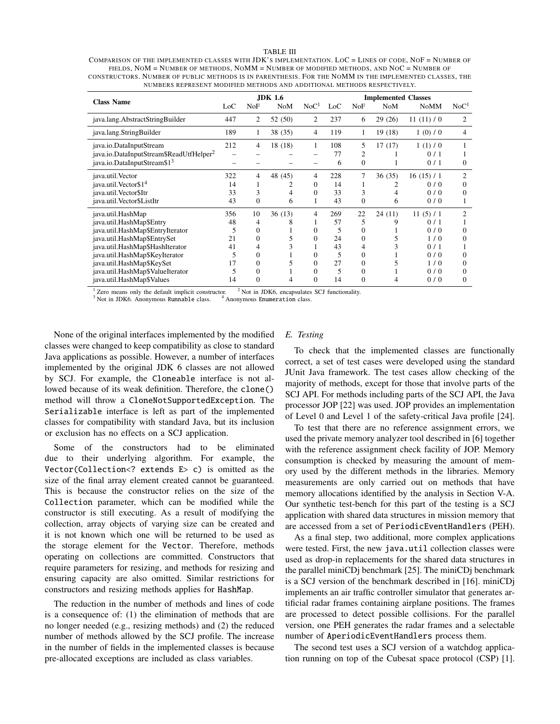#### TABLE III

COMPARISON OF THE IMPLEMENTED CLASSES WITH JDK'S IMPLEMENTATION. LOC = LINES OF CODE, NOF = NUMBER OF FIELDS,  $NOM = N$  UMBER OF METHODS,  $NOMM = N$  UMBER OF MODIFIED METHODS, AND  $NOC = N$  UMBER OF CONSTRUCTORS. NUMBER OF PUBLIC METHODS IS IN PARENTHESIS. FOR THE NOMM IN THE IMPLEMENTED CLASSES, THE NUMBERS REPRESENT MODIFIED METHODS AND ADDITIONAL METHODS RESPECTIVELY.

| <b>Class Name</b>                                   | <b>JDK 1.6</b> |          |            | <b>Implemented Classes</b> |     |            |            |          |                  |
|-----------------------------------------------------|----------------|----------|------------|----------------------------|-----|------------|------------|----------|------------------|
|                                                     | LoC            | NoF      | <b>NoM</b> | NoC <sup>1</sup>           | LoC | <b>NoF</b> | <b>NoM</b> | NoMM     | NoC <sup>1</sup> |
| java.lang.AbstractStringBuilder                     | 447            | 2        | 52 (50)    | 2                          | 237 | 6          | 29(26)     | 11(11)/0 | $\overline{2}$   |
| java.lang.StringBuilder                             | 189            | 1        | 38 (35)    | 4                          | 119 | 1          | 19(18)     | 1(0)/0   | 4                |
| java.io.DataInputStream                             | 212            | 4        | 18 (18)    | 1                          | 108 | 5          | 17(17)     | 1(1)/0   |                  |
| java.io.DataInputStream\$ReadUtfHelper <sup>2</sup> |                |          |            |                            | 77  | 2          |            | 0/1      |                  |
| java.io.DataInputStream\$1 <sup>3</sup>             |                |          |            |                            | 6   | $\Omega$   |            | 0/1      | $\theta$         |
| java.util.Vector                                    | 322            | 4        | 48 (45)    | 4                          | 228 |            | 36(35)     | 16(15)/1 | $\overline{2}$   |
| java.util.Vector\$1 <sup>4</sup>                    | 14             | 1        |            | $\Omega$                   | 14  | 1          | 2          | 0/0      | $\theta$         |
| java.util.Vector\$Itr                               | 33             | 3        | 4          | $\Omega$                   | 33  | 3          | 4          | 0/0      | $\Omega$         |
| java.util.Vector\$ListItr                           | 43             | $\Omega$ | 6          | 1                          | 43  | $\Omega$   | 6          | 0/0      |                  |
| java.util.HashMap                                   | 356            | 10       | 36(13)     | 4                          | 269 | 22         | 24(11)     | 11(5)/1  | $\overline{c}$   |
| java.util.HashMap\$Entry                            | 48             | 4        | 8          | 1                          | 57  | 5          | 9          | 0/1      |                  |
| java.util.HashMap\$EntryIterator                    | 5              | $\Omega$ |            | $\Omega$                   | 5   | $\Omega$   |            | 0/0      | $\Omega$         |
| java.util.HashMap\$EntrySet                         | 21             | $\Omega$ |            | $\theta$                   | 24  | $\Omega$   |            | 1/0      | $\Omega$         |
| java.util.HashMap\$HashIterator                     | 41             | 4        | 3          |                            | 43  | 4          |            | 0/1      |                  |
| java.util.HashMap\$KeyIterator                      | 5              | 0        |            | 0                          | 5   | $\Omega$   |            | 0/0      | $\Omega$         |
| java.util.HashMap\$KeySet                           | 17             | $\Omega$ |            | $\mathbf{0}$               | 27  | $\Omega$   |            | 1/0      | $\theta$         |
| java.util.HashMap\$ValueIterator                    | 5              | $\Omega$ |            | $\Omega$                   | 5   | $\Omega$   |            | 0/0      | $\theta$         |
| java.util.HashMap\$Values                           | 14             | $\Omega$ |            | $\theta$                   | 14  | $\Omega$   | 4          | 0/0      | $\Omega$         |

<sup>1</sup> Zero means only the default implicit constructor. <sup>2</sup> Not in JDK6, encapsulates SCJ functionality.<sup>3</sup> Not in JDK6. Anonymous **Runnable** class. <sup>4</sup> Anonymous **Enumeration** class.

 $3$  Not in JDK6. Anonymous Runnable class.

None of the original interfaces implemented by the modified classes were changed to keep compatibility as close to standard Java applications as possible. However, a number of interfaces implemented by the original JDK 6 classes are not allowed by SCJ. For example, the Cloneable interface is not allowed because of its weak definition. Therefore, the clone() method will throw a CloneNotSupportedException. The Serializable interface is left as part of the implemented classes for compatibility with standard Java, but its inclusion or exclusion has no effects on a SCJ application.

Some of the constructors had to be eliminated due to their underlying algorithm. For example, the Vector(Collection<? extends E> c) is omitted as the size of the final array element created cannot be guaranteed. This is because the constructor relies on the size of the Collection parameter, which can be modified while the constructor is still executing. As a result of modifying the collection, array objects of varying size can be created and it is not known which one will be returned to be used as the storage element for the Vector. Therefore, methods operating on collections are committed. Constructors that require parameters for resizing, and methods for resizing and ensuring capacity are also omitted. Similar restrictions for constructors and resizing methods applies for HashMap.

The reduction in the number of methods and lines of code is a consequence of: (1) the elimination of methods that are no longer needed (e.g., resizing methods) and (2) the reduced number of methods allowed by the SCJ profile. The increase in the number of fields in the implemented classes is because pre-allocated exceptions are included as class variables.

## *E. Testing*

To check that the implemented classes are functionally correct, a set of test cases were developed using the standard JUnit Java framework. The test cases allow checking of the majority of methods, except for those that involve parts of the SCJ API. For methods including parts of the SCJ API, the Java processor JOP [22] was used. JOP provides an implementation of Level 0 and Level 1 of the safety-critical Java profile [24].

To test that there are no reference assignment errors, we used the private memory analyzer tool described in [6] together with the reference assignment check facility of JOP. Memory consumption is checked by measuring the amount of memory used by the different methods in the libraries. Memory measurements are only carried out on methods that have memory allocations identified by the analysis in Section V-A. Our synthetic test-bench for this part of the testing is a SCJ application with shared data structures in mission memory that are accessed from a set of PeriodicEventHandlers (PEH).

As a final step, two additional, more complex applications were tested. First, the new java.util collection classes were used as drop-in replacements for the shared data structures in the parallel miniCDj benchmark [25]. The miniCDj benchmark is a SCJ version of the benchmark described in [16]. miniCDj implements an air traffic controller simulator that generates artificial radar frames containing airplane positions. The frames are processed to detect possible collisions. For the parallel version, one PEH generates the radar frames and a selectable number of AperiodicEventHandlers process them.

The second test uses a SCJ version of a watchdog application running on top of the Cubesat space protocol (CSP) [1].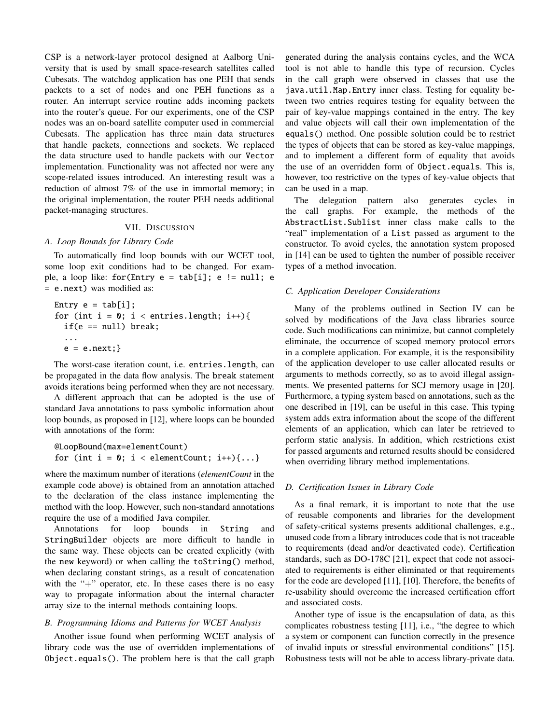CSP is a network-layer protocol designed at Aalborg University that is used by small space-research satellites called Cubesats. The watchdog application has one PEH that sends packets to a set of nodes and one PEH functions as a router. An interrupt service routine adds incoming packets into the router's queue. For our experiments, one of the CSP nodes was an on-board satellite computer used in commercial Cubesats. The application has three main data structures that handle packets, connections and sockets. We replaced the data structure used to handle packets with our Vector implementation. Functionality was not affected nor were any scope-related issues introduced. An interesting result was a reduction of almost 7% of the use in immortal memory; in the original implementation, the router PEH needs additional packet-managing structures.

#### VII. DISCUSSION

# *A. Loop Bounds for Library Code*

To automatically find loop bounds with our WCET tool, some loop exit conditions had to be changed. For example, a loop like: for  $(Entry e = tab[i]; e != null; e$ = e.next) was modified as:

```
Entry e = tab[i];for (int i = 0; i < entries.length; i++){
 if(e == null) break;...
 e = e.next; }
```
The worst-case iteration count, i.e. entries.length, can be propagated in the data flow analysis. The break statement avoids iterations being performed when they are not necessary.

A different approach that can be adopted is the use of standard Java annotations to pass symbolic information about loop bounds, as proposed in [12], where loops can be bounded with annotations of the form:

@LoopBound(max=elementCount) for (int  $i = 0$ ;  $i <$  elementCount;  $i++)$ {...}

where the maximum number of iterations (*elementCount* in the example code above) is obtained from an annotation attached to the declaration of the class instance implementing the method with the loop. However, such non-standard annotations require the use of a modified Java compiler.

Annotations for loop bounds in String and StringBuilder objects are more difficult to handle in the same way. These objects can be created explicitly (with the new keyword) or when calling the toString() method, when declaring constant strings, as a result of concatenation with the "+" operator, etc. In these cases there is no easy way to propagate information about the internal character array size to the internal methods containing loops.

## *B. Programming Idioms and Patterns for WCET Analysis*

Another issue found when performing WCET analysis of library code was the use of overridden implementations of Object.equals(). The problem here is that the call graph

generated during the analysis contains cycles, and the WCA tool is not able to handle this type of recursion. Cycles in the call graph were observed in classes that use the java.util.Map.Entry inner class. Testing for equality between two entries requires testing for equality between the pair of key-value mappings contained in the entry. The key and value objects will call their own implementation of the equals() method. One possible solution could be to restrict the types of objects that can be stored as key-value mappings, and to implement a different form of equality that avoids the use of an overridden form of Object.equals. This is, however, too restrictive on the types of key-value objects that can be used in a map.

The delegation pattern also generates cycles in the call graphs. For example, the methods of the AbstractList.Sublist inner class make calls to the "real" implementation of a List passed as argument to the constructor. To avoid cycles, the annotation system proposed in [14] can be used to tighten the number of possible receiver types of a method invocation.

#### *C. Application Developer Considerations*

Many of the problems outlined in Section IV can be solved by modifications of the Java class libraries source code. Such modifications can minimize, but cannot completely eliminate, the occurrence of scoped memory protocol errors in a complete application. For example, it is the responsibility of the application developer to use caller allocated results or arguments to methods correctly, so as to avoid illegal assignments. We presented patterns for SCJ memory usage in [20]. Furthermore, a typing system based on annotations, such as the one described in [19], can be useful in this case. This typing system adds extra information about the scope of the different elements of an application, which can later be retrieved to perform static analysis. In addition, which restrictions exist for passed arguments and returned results should be considered when overriding library method implementations.

## *D. Certification Issues in Library Code*

As a final remark, it is important to note that the use of reusable components and libraries for the development of safety-critical systems presents additional challenges, e.g., unused code from a library introduces code that is not traceable to requirements (dead and/or deactivated code). Certification standards, such as DO-178C [21], expect that code not associated to requirements is either eliminated or that requirements for the code are developed [11], [10]. Therefore, the benefits of re-usability should overcome the increased certification effort and associated costs.

Another type of issue is the encapsulation of data, as this complicates robustness testing [11], i.e., "the degree to which a system or component can function correctly in the presence of invalid inputs or stressful environmental conditions" [15]. Robustness tests will not be able to access library-private data.